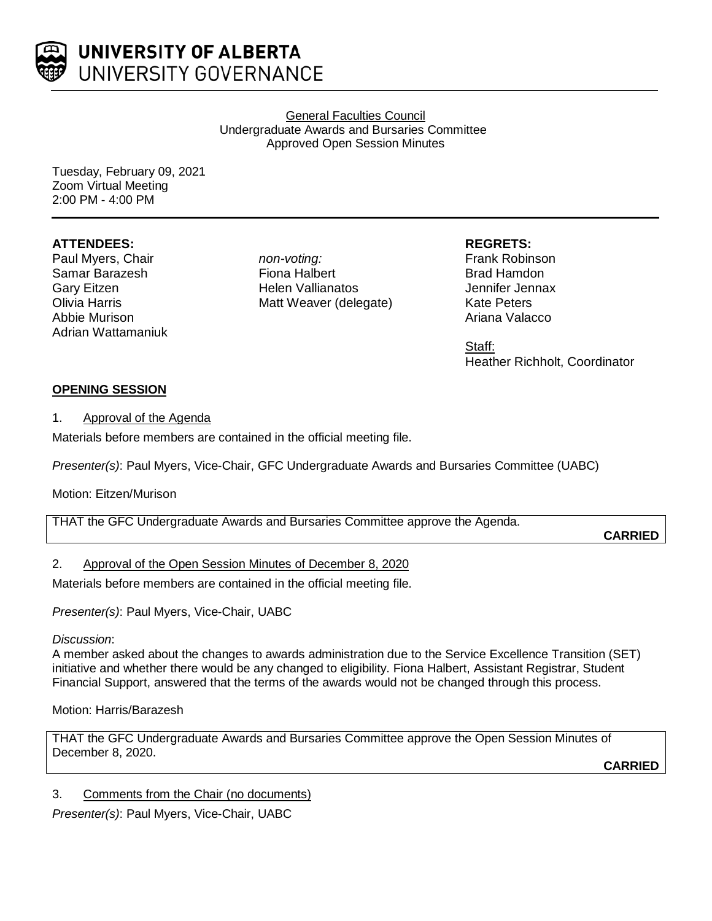

General Faculties Council Undergraduate Awards and Bursaries Committee Approved Open Session Minutes

Tuesday, February 09, 2021 Zoom Virtual Meeting 2:00 PM - 4:00 PM

## **ATTENDEES:**

Paul Myers, Chair Samar Barazesh Gary Eitzen Olivia Harris Abbie Murison Adrian Wattamaniuk *non-voting:* Fiona Halbert Helen Vallianatos Matt Weaver (delegate)

# **REGRETS:**

Frank Robinson Brad Hamdon Jennifer Jennax Kate Peters Ariana Valacco

Staff: Heather Richholt, Coordinator

## **OPENING SESSION**

## 1. Approval of the Agenda

Materials before members are contained in the official meeting file.

*Presenter(s)*: Paul Myers, Vice-Chair, GFC Undergraduate Awards and Bursaries Committee (UABC)

## Motion: Eitzen/Murison

| THAT the GFC Undergraduate Awards and Bursaries Committee approve the Agenda. |                |
|-------------------------------------------------------------------------------|----------------|
|                                                                               |                |
|                                                                               |                |
|                                                                               | <b>CARRIED</b> |
|                                                                               |                |

## 2. Approval of the Open Session Minutes of December 8, 2020

Materials before members are contained in the official meeting file.

*Presenter(s)*: Paul Myers, Vice-Chair, UABC

## *Discussion*:

A member asked about the changes to awards administration due to the Service Excellence Transition (SET) initiative and whether there would be any changed to eligibility. Fiona Halbert, Assistant Registrar, Student Financial Support, answered that the terms of the awards would not be changed through this process.

## Motion: Harris/Barazesh

THAT the GFC Undergraduate Awards and Bursaries Committee approve the Open Session Minutes of December 8, 2020.

**CARRIED**

## 3. Comments from the Chair (no documents)

*Presenter(s)*: Paul Myers, Vice-Chair, UABC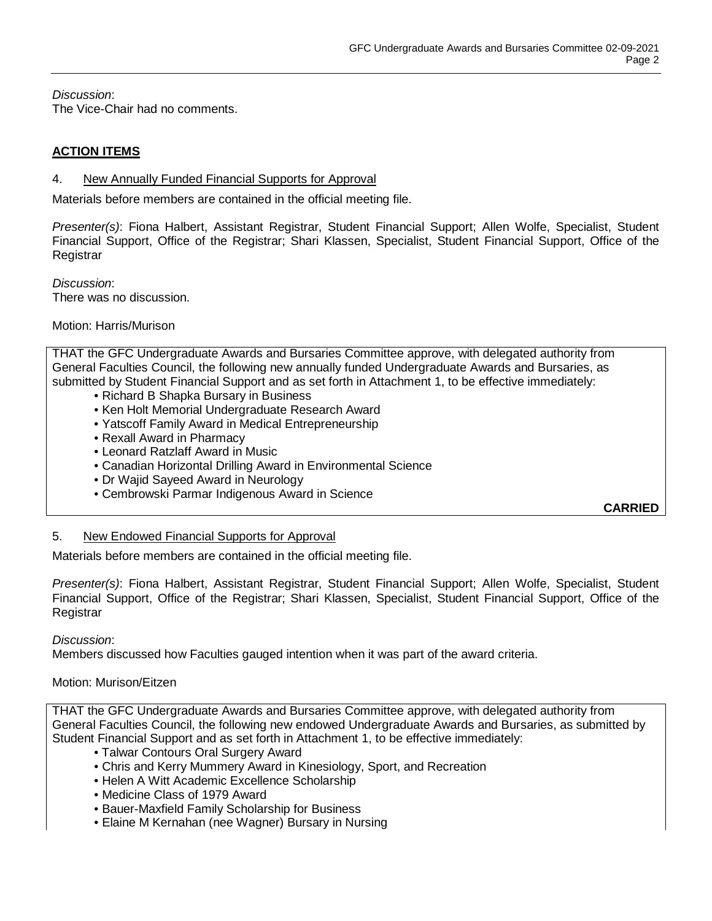*Discussion*: The Vice-Chair had no comments.

## **ACTION ITEMS**

#### 4. New Annually Funded Financial Supports for Approval

Materials before members are contained in the official meeting file.

*Presenter(s)*: Fiona Halbert, Assistant Registrar, Student Financial Support; Allen Wolfe, Specialist, Student Financial Support, Office of the Registrar; Shari Klassen, Specialist, Student Financial Support, Office of the **Registrar** 

*Discussion*: There was no discussion.

#### Motion: Harris/Murison

THAT the GFC Undergraduate Awards and Bursaries Committee approve, with delegated authority from General Faculties Council, the following new annually funded Undergraduate Awards and Bursaries, as submitted by Student Financial Support and as set forth in Attachment 1, to be effective immediately:

- Richard B Shapka Bursary in Business
- Ken Holt Memorial Undergraduate Research Award
- Yatscoff Family Award in Medical Entrepreneurship
- Rexall Award in Pharmacy
- Leonard Ratzlaff Award in Music
- Canadian Horizontal Drilling Award in Environmental Science
- Dr Wajid Sayeed Award in Neurology
- Cembrowski Parmar Indigenous Award in Science

**CARRIED**

## 5. New Endowed Financial Supports for Approval

Materials before members are contained in the official meeting file.

*Presenter(s)*: Fiona Halbert, Assistant Registrar, Student Financial Support; Allen Wolfe, Specialist, Student Financial Support, Office of the Registrar; Shari Klassen, Specialist, Student Financial Support, Office of the Registrar

*Discussion*:

Members discussed how Faculties gauged intention when it was part of the award criteria.

## Motion: Murison/Eitzen

THAT the GFC Undergraduate Awards and Bursaries Committee approve, with delegated authority from General Faculties Council, the following new endowed Undergraduate Awards and Bursaries, as submitted by Student Financial Support and as set forth in Attachment 1, to be effective immediately:

- Talwar Contours Oral Surgery Award
- Chris and Kerry Mummery Award in Kinesiology, Sport, and Recreation
- Helen A Witt Academic Excellence Scholarship
- Medicine Class of 1979 Award
- Bauer-Maxfield Family Scholarship for Business
- Elaine M Kernahan (nee Wagner) Bursary in Nursing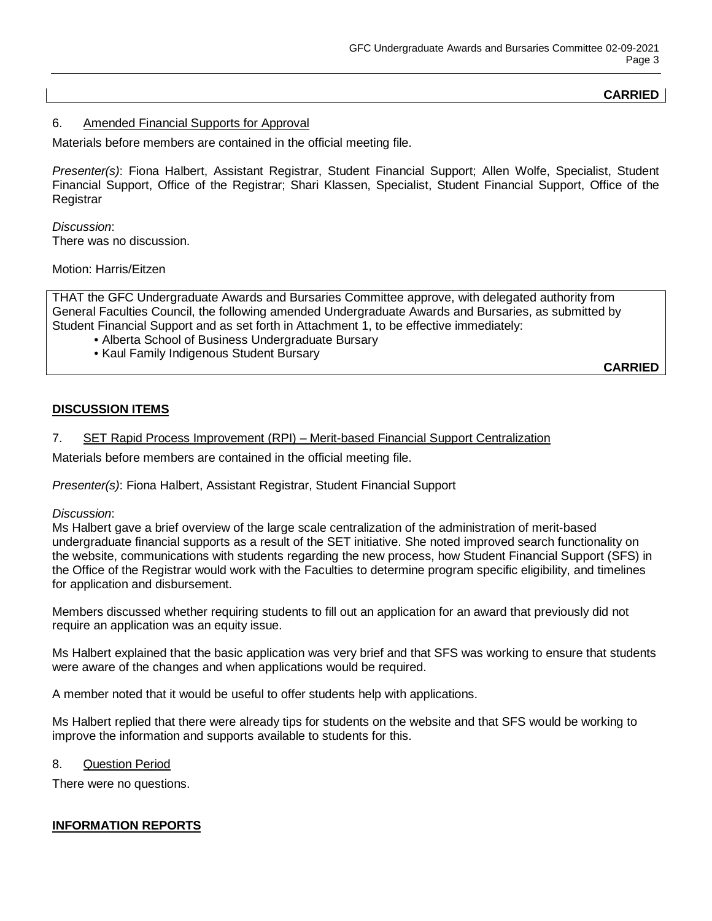# **CARRIED**

#### 6. Amended Financial Supports for Approval

Materials before members are contained in the official meeting file.

*Presenter(s)*: Fiona Halbert, Assistant Registrar, Student Financial Support; Allen Wolfe, Specialist, Student Financial Support, Office of the Registrar; Shari Klassen, Specialist, Student Financial Support, Office of the **Registrar** 

*Discussion*: There was no discussion.

Motion: Harris/Eitzen

THAT the GFC Undergraduate Awards and Bursaries Committee approve, with delegated authority from General Faculties Council, the following amended Undergraduate Awards and Bursaries, as submitted by Student Financial Support and as set forth in Attachment 1, to be effective immediately:

- Alberta School of Business Undergraduate Bursary
- Kaul Family Indigenous Student Bursary

**CARRIED**

## **DISCUSSION ITEMS**

#### 7. SET Rapid Process Improvement (RPI) – Merit-based Financial Support Centralization

Materials before members are contained in the official meeting file.

*Presenter(s)*: Fiona Halbert, Assistant Registrar, Student Financial Support

#### *Discussion*:

Ms Halbert gave a brief overview of the large scale centralization of the administration of merit-based undergraduate financial supports as a result of the SET initiative. She noted improved search functionality on the website, communications with students regarding the new process, how Student Financial Support (SFS) in the Office of the Registrar would work with the Faculties to determine program specific eligibility, and timelines for application and disbursement.

Members discussed whether requiring students to fill out an application for an award that previously did not require an application was an equity issue.

Ms Halbert explained that the basic application was very brief and that SFS was working to ensure that students were aware of the changes and when applications would be required.

A member noted that it would be useful to offer students help with applications.

Ms Halbert replied that there were already tips for students on the website and that SFS would be working to improve the information and supports available to students for this.

## 8. Question Period

There were no questions.

## **INFORMATION REPORTS**